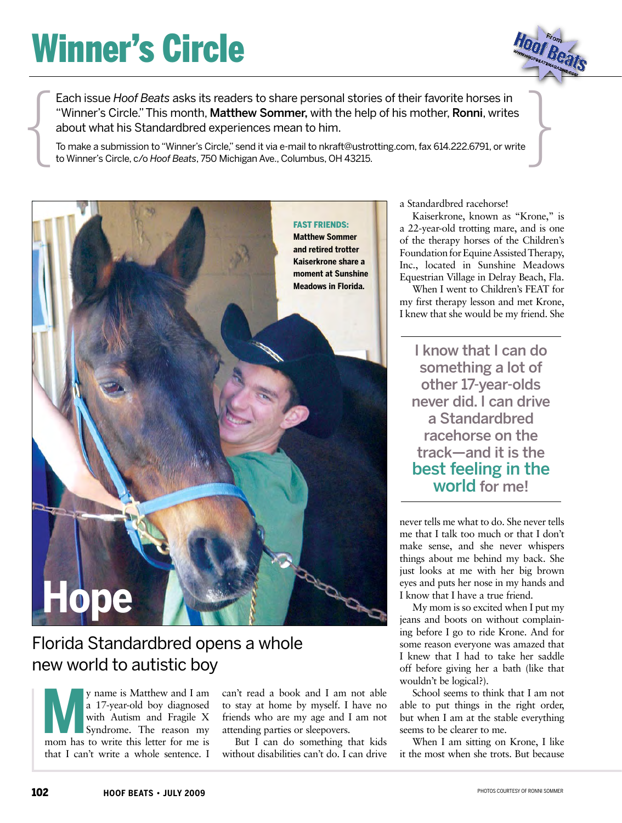## Winner's Circle



Each issue Hoof Beats asks its readers to share personal stories of their favorite horses in<br>
"Winner's Circle." This month, **Matthew Sommer**, with the help of his mother, **Ronni**, writes<br>
about what his Standardbred exper Each issue *Hoof Beats* asks its readers to share personal stories of their favorite horses in "Winner's Circle." This month, Matthew Sommer, with the help of his mother, Ronni, writes about what his Standardbred experiences mean to him.

To make a submission to "Winner's Circle," send it via e-mail [to nkraft@ustrotting.com](mailto:nkraft@ustrotting.com), fax 614.222.6791, or write to Winner's Circle, c/o *Hoof Beats*, 750 Michigan Ave., Columbus, OH 43215.



### Florida Standardbred opens a whole new world to autistic boy

y name is Matthew and I am a 17-year-old boy diagnosed with Autism and Fragile X Syndrome. The reason my y name is Matthew and I am<br>
a 17-year-old boy diagnosed<br>
with Autism and Fragile X<br>
Syndrome. The reason my<br>
mom has to write this letter for me is that I can't write a whole sentence. I

can't read a book and I am not able to stay at home by myself. I have no friends who are my age and I am not attending parties or sleepovers.

But I can do something that kids without disabilities can't do. I can drive a Standardbred racehorse!

Kaiserkrone, known as "Krone," is a 22-year-old trotting mare, and is one of the therapy horses of the Children's Foundation for Equine Assisted Therapy, Inc., located in Sunshine Meadows Equestrian Village in Delray Beach, Fla.

When I went to Children's FEAT for my first therapy lesson and met Krone, I knew that she would be my friend. She

I know that I can do something a lot of other 17-year-olds never did. I can drive a Standardbred racehorse on the track—and it is the best feeling in the world for me!

never tells me what to do. She never tells me that I talk too much or that I don't make sense, and she never whispers things about me behind my back. She just looks at me with her big brown eyes and puts her nose in my hands and I know that I have a true friend.

My mom is so excited when I put my jeans and boots on without complaining before I go to ride Krone. And for some reason everyone was amazed that I knew that I had to take her saddle off before giving her a bath (like that wouldn't be logical?).

School seems to think that I am not able to put things in the right order, but when I am at the stable everything seems to be clearer to me.

When I am sitting on Krone, I like it the most when she trots. But because